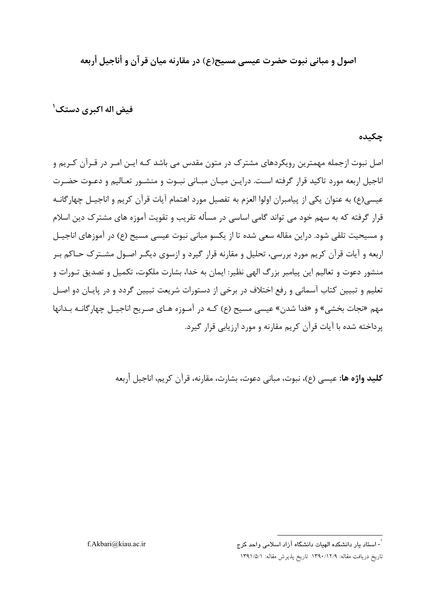اصول و مبانی نبوت حضرت عیسی مسیح(ع) در مقارنه میان قر آن و أناجیل أربعه

فیض اله اکیری دستک ٰ

### جکیده

اصل نبوت ازجمله مهمترین رویکردهای مشترک در متون مقدس می باشد کـه ایـن امـر در قـرآن کـریم و اناجیل اربعه مورد تاکید قرار گرفته است. درایـن میـان مبـانی نبـوت و منشـور تعـالیم و دعـوت حضـرت عيسي(ع) به عنوان يكي از پيامبران اولوا العزم به تفصيل مورد اهتمام آيات قرآن كريم و اناجيـل چهارگانــه قرار گرفته که به سهم خود می تواند گامی اساسی در مسأله تقریب و تقویت آموزه های مشترک دین اسلام و مسیحیت تلقی شود. دراین مقاله سعی شده تا از یکسو مبانی نبوت عیسی مسیح (ع) در آموزهای اناجیـل اربعه و آیات قرآن کریم مورد بررسی، تحلیل و مقارنه قرار گیرد و ازسوی دیگـر اصـول مشـترک حـاکم بـر منشور دعوت و تعالیم این پیامبر بزرگ الهی نظیر: ایمان به خدا، بشارت ملکوت، تکمیل و تصدیق تـورات و تعلیم و تبیین کتاب آسمانی و رفع اختلاف در برخی از دستورات شریعت تبیین گردد و در پایـان دو اصـل مهم «نجات بخشی» و «فدا شدن» عیسی مسیح (ع) کـه در آمـوزه هـای صـریح اناجیـل چهارگانـه بـدانها یرداخته شده با آیات قرآن کریم مقارنه و مورد ارزیابی قرار گیرد.

**كليد واژه ها:** عيسى (ع)، نبوت، مباني دعوت، بشارت، مقارنه، قرآن كريم، اناجيل أربعه

f.Akbari@kiau.ac.ir

<sup>ّ -</sup> استاد یار دانشکده الهیات دانشگاه آزاد اسلامی واحد کرج

تاريخ دريافت مقاله: ١٣٩٠/١٢/٩ تاريخ پذيرش مقاله: ١٣٩١/٥/١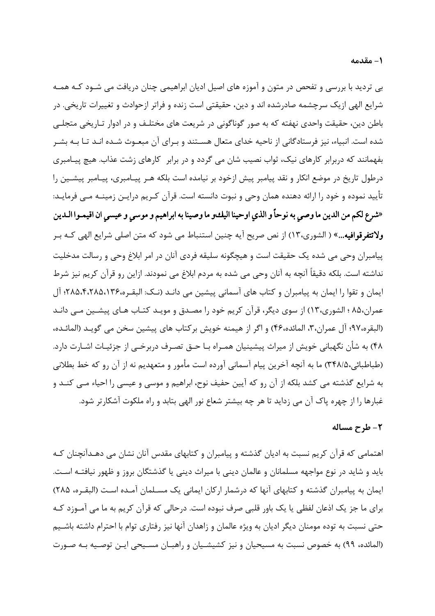بی تردید با بررسی و تفحص در متون و آموزه های اصیل ادیان ابراهیمی چنان دریافت می شـود کـه همـه شرایع الهی ازیک سرچشمه صادرشده اند و دین، حقیقتی است زنده و فراتر ازحوادث و تغییرات تاریخی. در باطن دین، حقیقت واحدی نهفته که به صور گوناگونی در شریعت های مختلـف و در ادوار تـاریخی متجلـی شده است. انبیاء، نیز فرستادگانی از ناحیه خدای متعال هسـتند و بـرای آن مبعـوث شـده انـد تـا بـه بشـر بفهمانند که دربرابر کارهای نیک، ثواب نصیب شان می گردد و در برابر کارهای زشت عذاب. هیچ پیـامبری درطول تاریخ در موضع انکار و نقد پیامبر پیش ازخود بر نیامده است بلکه هـر پیـامبری، پیـامبر پیشــین را تأييد نموده و خود را ارائه دهنده همان وحي و نبوت دانسته است. قرآن كـريم درايـن زمينــه مــي فرمايــد: «شرع لكم من الدين ما وصى به نوحاً و الذي اوحينا اليكو ما وصينا به ابراهيم و موسى و عيسى ان اقيمـوا الـدين ولاتتفرقوافيه...» ( الشورى،١٣) از نص صريح آيه چنين استنباط مي شود كه متن اصلي شرايع الهي كـه بـر يپامبران وحي مي شده يک حقيقت است و هيچگونه سليقه فردي آنان در امر ابلاغ وحي و رسالت مدخليت نداشته است. بلکه دقیقاً آنچه به آنان وحی می شده به مردم ابلاغ می نمودند. ازاین رو قرآن کریم نیز شرط ایمان و تقوا را ایمان به پیامبران و کتاب های آسمانی پیشین می دانـد (نـک: البقـره،۲۸۵،۱۳۶،۸۵،۴،۲۸۵ آل عمران،۸۵ ؛ الشوري،۱۳) از سوي ديگر، قرآن كريم خود را مصـدق و مويـد كتـاب هـاي پيشـين مـي دانـد (البقره،٩٧؛ آل عمران،٣، المائده،۴۶) و اگر از هیمنه خویش بركتاب های پیشین سخن می گویـد (المائـده، ۴۸) به شأن نگهبانی خویش از میراث پیشینیان همـراه بـا حـق تصـرف دربرخـی از جزئیـات اشـارت دارد. (طباطبائی،۳۴۸/۵) ما به آنچه آخرین پیام آسمانی آورده است مأمور و متعهدیم نه از آن رو که خط بطلانی به شرایع گذشته می کشد بلکه از آن رو که آیین حفیف نوح، ابراهیم و موسی و عیسی را احیاء مـبی کنــد و غبارها را از چهره پاک آن می زداید تا هر چه بیشتر شعاع نور الهی بتابد و راه ملکوت آشکارتر شود.

### ٢- طرح مساله

اهتمامی که قرآن کریم نسبت به ادیان گذشته و پیامبران و کتابهای مقدس آنان نشان می دهـدآنچنان کـه باید و شاید در نوع مواجهه مسلمانان و عالمان دینی با میراث دینی یا گذشتگان بروز و ظهور نیافتـه اسـت. ایمان به پیامبران گذشته و کتابهای آنها که درشمار ارکان ایمانی یک مسـلمان آمـده اسـت (البقـره، ۲۸۵) برای ما جز یک اذعان لفظی یا یک باور قلبی صرف نبوده است. درحالی که قرآن کریم به ما می آمــوزد کــه حتی نسبت به توده مومنان دیگر ادیان به ویژه عالمان و زاهدان آنها نیز رفتاری توام با احترام داشته باشـیم (المائده، ۹۹) به خصوص نسبت به مسیحیان و نیز کشیشـیان و راهبـان مسـیحی ایـن توصـیه بـه صـورت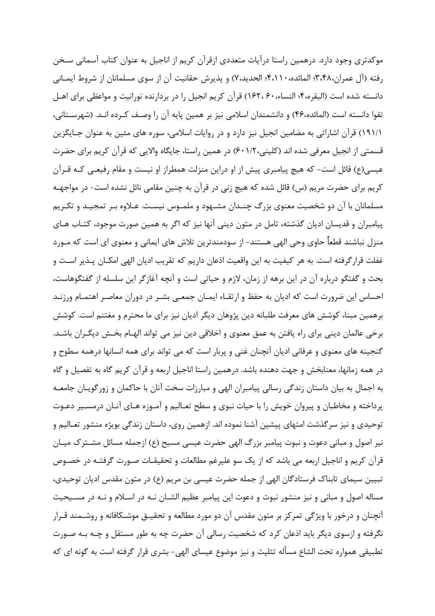موکدتری وجود دارد. درهمین راستا درآیات متعددی ازقرآن کریم از اناجیل به عنوان کتاب آسمانی سـخن رفته (آل عمران،۴،۴۸، المائده، ۴،۱۱۰؛ الحديد،۷) و پذيرش حقانيت آن از سوى مسلمانان از شروط ايمـاني دانسته شده است (البقره،۴؛ النساء،۶۰، ۱۶۲،۶۰) قرآن کریم انجیل را در بردارنده نورانیت و مواعظی برای اهـل تقوا دانسته است (المائده،۴۶) و دانشمندان اسلامی نیز بر همین پایه آن را وصـف کـرده انـد. (شهرسـتانی، ١٩١/١) قرآن اشاراتي به مضامين انجيل نيز دارد و در روايات اسلامي، سوره هاي مئين به عنوان جـايگزين قسمتی از انجیل معرفی شده اند (کلینی،۶۰۱/۲ ور همین راستا، جایگاه والایی که قرآن کریم برای حضرت عیسی(ع) قائل است- که هیچ پیامبری پیش از او دراین منزلت همطراز او نیست و مقام رفیعـی کـه قــراَن کریم برای حضرت مریم (س) قائل شده که هیچ زنی در قرآن به چنین مقامی نائل نشده است- در مواجهـه مسلمانان با آن دو شخصیت معنوی بزرگ چنـدان مشـهود و ملمـوس نیسـت. عـلاوه بـر تمجیـد و تکـریم پیامبران و قدیسان ادیان گذشته، تامل در متون دینی آنها نیز که اگر به همین صورت موجود، کتـاب هـای منزل نباشند قطعاً حاوی وحی الهی هستند- از سودمندترین تلاش های ایمانی و معنوی ای است که مـورد غفلت قرار گرفته است. به هر کیفیت به این واقعیت اذعان داریم که تقریب ادیان الهی امکـان پــذیر اســت و بحث و گفتگو درباره آن در این برهه از زمان، لازم و حیاتی است و آنچه آغازگر این سلسله از گفتگوهاست، احساس این ضرورت است که ادیان به حفظ و ارتقـاء ایمـان جمعـی بشـر در دوران معاصـر اهتمـام ورزنـد برهمین مبنا، کوشش های معرفت طلبانه دین پژوهان دیگر ادیان نیز برای ما محترم و مغتنم است. کوشش برخی عالمان دینی برای راه یافتن به عمق معنوی و اخلاقی دین نیز می تواند الهـام بخـش دیگـران باشـد. گنجینه های معنوی و عرفانی ادیان آنچنان غنی و پربار است که می تواند برای همه انسانها درهمه سطوح و در همه زمانها، معنابخش و جهت دهنده باشد. درهمین راستا اناجیل اربعه و قرآن کریم گاه به تفصیل و گاه به اجمال به بیان داستان زندگی رسالی پیامبران الهی و مبارزات سخت آنان با حاکمان و زورگویـان جامعــه پرداخته و مخاطبان و پیروان خویش را با حیات نبوی و سطح تعـالیم و آمـوزه هـای آنـان درمسـیر دعـوت توحیدی و نیز سرگذشت امتهای پیشین آشنا نموده اند. ازهمین روی، داستان زندگی بویژه منشور تعـالیم و نیر اصول و مبانی دعوت و نبوت پیامبر بزرگ الهی حضرت عیسی مسیح (ع) ازجمله مسائل مشـتر ک میـان قرآن کریم و اناجیل اربعه می باشد که از یک سو علیرغم مطالعات و تحقیقـات صـورت گرفتـه در خصـوص تبیین سیمای تابناک فرستادگان الهی از جمله حضرت عیسی بن مریم (ع) در متون مقدس ادیان توحیدی، مساله اصول و مبانی و نیز منشور نبوت و دعوت این پیامبر عظیم الشـان نـه در اسـلام و نـه در مسـیحیت آنچنان و درخور با ویژگی تمرکز بر متون مقدس آن دو مورد مطالعه و تحقیــق موشــکافانه و روشــمند قــرار نگرفته و ازسوی دیگر باید اذعان کرد که شخصیت رسالی آن حضرت چه به طور مستقل و چــه بــه صــورت تطبیقی همواره تحت الشاع مسأله تثلیث و نیز موضوع عیسای الهی- بشری قرار گرفته است به گونه ای که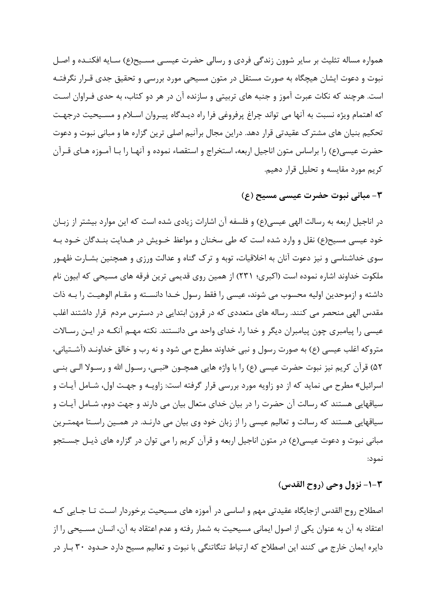همواره مساله تثلیث بر سایر شوون زندگی فردی و رسالی حضرت عیســی مســیح(ع) سـایه افکنــده و اصـل نبوت و دعوت ایشان هیچگاه به صورت مستقل در متون مسیحی مورد بررسی و تحقیق جدی قـرار نگرفتـه است. هرچند که نکات عبرت آموز و جنبه های تربیتی و سازنده آن در هر دو کتاب، به حدی فـراوان اسـت که اهتمام ویژه نسبت به آنها می تواند چراغ پرفروغی فرا راه دیـدگاه پیـروان اسـلام و مسـیحیت درجهـت تحکیم بنیان های مشترک عقیدتی قرار دهد. دراین مجال برآنیم اصلی ترین گزاره ها و مبانی نبوت و دعوت حضرت عیسی(ع) را براساس متون اناجیل اربعه، استخراج و استقصاء نموده و آنهـا را بـا آمـوزه هـای قـرآن كريم مورد مقايسه وتحليل قرار دهيم.

### ٣- مباني نبوت حضرت عيسى مسيح (ع)

در اناجیل اربعه به رسالت الهی عیسی(ع) و فلسفه آن اشارات زیادی شده است که این موارد بیشتر از زبـان خود عیسی مسیح(ع) نقل و وارد شده است که طی سخنان و مواعظ خــویش در هــدایت بنــدگان خــود بــه سوی خداشناسی و نیز دعوت آنان به اخلاقیات، توبه و ترک گناه و عدالت ورزی و همچنین بشـارت ظهـور ملکوت خداوند اشاره نموده است (اکبری؛ ۲۳۱) از همین روی قدیمی ترین فرقه های مسیحی که ابیون نام داشته و ازموحدین اولیه محسوب می شوند، عیسی را فقط رسول خـدا دانســته و مقـام الوهیـت را بـه ذات مقدس الهی منحصر می کنند. رساله های متعددی که در قرون ابتدایی در دسترس مردم قرار داشتند اغلب عیسی را پیامبری چون پیامبران دیگر و خدا را، خدای واحد می دانستند. نکته مهـم آنکـه در ایـن رسـالات متروکه اغلب عیسی (ع) به صورت رسول و نبی خداوند مطرح می شود و نه رب و خالق خداونـد (آشـتیانی، ۵۲) قرآن كريم نيز نبوت حضرت عيسى (ع) را با واژه هايي همچــون «نبــي، رســول الله و رســولا الــي بنــي اسرائیل» مطرح می نماید که از دو زاویه مورد بررسی قرار گرفته است: زاویـه و جهـت اول، شـامل آیـات و سیاقهایی هستند که رسالت آن حضرت را در بیان خدای متعال بیان می دارند و جهت دوم، شـامل آیـات و سیاقهایی هستند که رسالت و تعالیم عیسی را از زبان خود وی بیان می دارنـد. در همـین راسـتا مهمتـرین مبانی نبوت و دعوت عیسی(ع) در متون اناجیل اربعه و قرآن کریم را می توان در گزاره های ذیـل جســتجو نمود:

## 1-٢- نزول وحي (روح القدس)

اصطلاح روح القدس ازجايگاه عقيدتي مهم و اساسي در آموزه هاي مسيحيت برخوردار اسـت تــا جــايي كــه اعتقاد به آن به عنوان یکی از اصول ایمانی مسیحیت به شمار رفته و عدم اعتقاد به آن، انسان مسـیحی را از دایره ایمان خارج می کنند این اصطلاح که ارتباط تنگاتنگی با نبوت و تعالیم مسیح دارد حـدود ۳۰ بـار در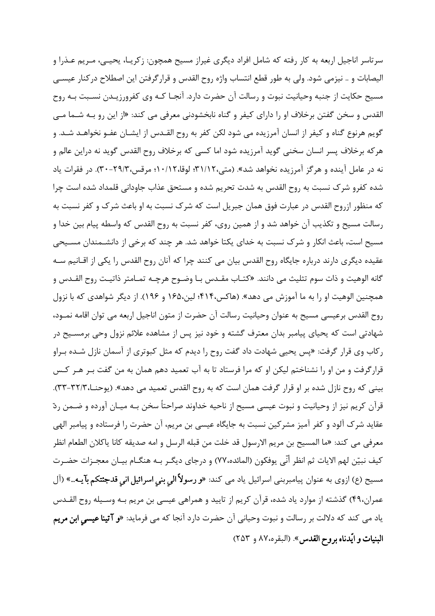سرتاسر اناجیل اربعه به کار رفته که شامل افراد دیگری غیراز مسیح همچون: زکریـا، یحیـی، مـریم عـذرا و اليصابات و .. نيزمي شود. ولي به طور قطع انتساب واژه روح القدس و قرار گرفتن اين اصطلاح در كنار عيسـي مسیح حکایت از جنبه وحیانیت نبوت و رسالت آن حضرت دارد. آنجـا کـه وی کفرورزیـدن نسـبت بـه روح القدس و سخن گفتن برخلاف او را دارای کیفر و گناه نابخشودنی معرفی می کند: «از این رو بـه شـما مـی گويم هرنوع گناه و كيفر از انسان آمرزيده مي شود لكن كفر به روح القـدس از ايشــان عفــو نخواهــد شــد. و هر که برخلاف پسر انسان سخنی گوید آمرزیده شود اما کسی که برخلاف روح القدس گوید نه دراین عالم و نه در عامل آینده و هرگز آمرزیده نخواهد شد». (متی،۲۱/۱۲؛ لوقا،۱۰/۱۲؛ مرقس،۲۹/۳-۳۰). در فقرات یاد شده کفرو شرک نسبت به روح القدس به شدت تحریم شده و مستحق عذاب جاودانی قلمداد شده است چرا که منظور ازروح القدس در عبارت فوق همان جبريل است که شرک نسبت به او باعث شرک و کفر نسبت به رسالت مسیح و تکذیب آن خواهد شد و از همین روی، کفر نسبت به روح القدس که واسطه پیام بین خدا و مسیح است، باعث انکار و شرک نسبت به خدای یکتا خواهد شد. هر چند که برخی از دانشـمندان مسـیحی عقیده دیگری دارند درباره جایگاه روح القدس بیان می کنند چرا که آنان روح القدس را یکی از اقــانیم ســه گانه الوهيت و ذات سوم تثليث مي دانند. «كتـاب مقـدس بـا وضـوح هرچـه تمـامتر ذاتيـت روح القـدس و همچنین الوهیت او را به ما آموزش می دهد». (هاکس۴۱۴؛ لین،۱۶۵ و ۱۹۶). از دیگر شواهدی که با نزول روح القدس برعيسي مسيح به عنوان وحيانيت رسالت آن حضرت از متون اناجيل اربعه مي توان اقامه نمــود، شهادتی است که یحیای پیامبر بدان معترف گشته و خود نیز پس از مشاهده علائم نزول وحی برمسـیح در ركاب وي قرار گرفت: «پس يحيي شهادت داد گفت روح را ديدم كه مثل كبوتري از آسمان نازل شـده بـراو قرارگرفت و من او را نشناختم لیکن او که مرا فرستاد تا به آب تعمید دهم همان به من گفت بـر هـر کـس بینی که روح نازل شده بر او قرار گرفت همان است که به روح القدس تعمید می دهد». (یوحنــا،۳۲/۳-۳۳). قرآن کریم نیز از وحیانیت و نبوت عیسی مسیح از ناحیه خداوند صراحتاً سخن بـه میـان آورده و ضـمن ردّ عقايد شرک آلود و کفر آميز مشرکين نسبت به جايگاه عيسى بن مريم، آن حضرت را فرستاده و پيامبر الهي معرفي مي كند: «ما المسيح بن مريم الارسول قد خلت من قبله الرسل و امه صديقه كانا ياكلان الطعام انظر كيف نبيّن لهم الايات ثم انظر أنّي يوفكون (المائده،٧٧) و درجاي ديگــر بــه هنگــام بيــان معجــزات حضــرت مسیح (ع) ازوی به عنوان پیامبربنی اسرائیل یاد می کند: «و رسولاً الی بنی اسرائیل انی قدجئتکم بآیـه..» (آل عمران،۴۹) گذشته از موارد یاد شده، قرآن کریم از تایید و همراهی عیسی بن مریم بـه وسـیله روح القـدس یاد می کند که دلالت بر رسالت و نبوت وحیانی آن حضرت دارد آنجا که می فرماید: «**و آتینا عیسی ابن مریم** البنيات و ايّدناه بروح القدس». (البقره،٨٧ و ٢۵٣)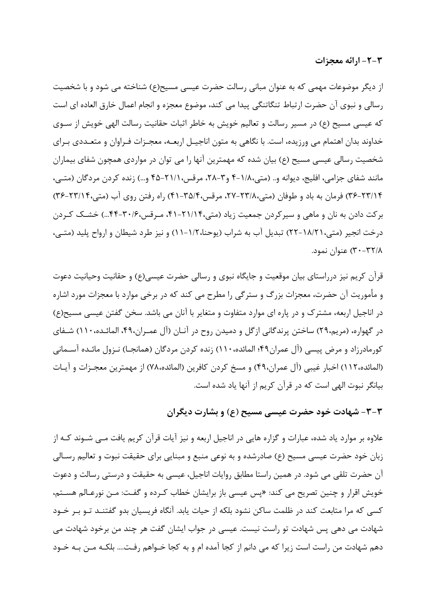٣-٢- ارائه معجزات

از دیگر موضوعات مهمی که به عنوان مبانی رسالت حضرت عیسی مسیح(ع) شناخته می شود و با شخصیت رسالي و نبوي آن حضرت ارتباط تنگاتنگي پيدا مي كند، موضوع معجزه و انجام اعمال خارق العاده اي است که عیسی مسیح (ع) در مسیر رسالت و تعالیم خویش به خاطر اثبات حقانیت رسالت الهی خویش از سـوی خداوند بدان اهتمام می ورزیده، است. با نگاهی به متون اناجیـل اربعــه، معجـزات فـراوان و متعــددی بـرای شخصیت رسالی عیسی مسیح (ع) بیان شده که مهمترین آنها را می توان در مواردی همچون شفای بیماران مانند شفای جزامی، افلیج، دیوانه و.. (متی،١/٨-۴ و ٣-٢٨، مرقس،٢١/١-۴۵ و...) زنده کردن مردگان (متبی، ۳۶-۲۳/۱۴) فرمان به باد و طوفان (متی،۲۳/۸۰-۲۷، مرقس،۴۵/۴-۴۱) راه رفتن روی آب (متی،۲۳/۱۴-۳۶) برکت دادن به نان و ماهی و سیرکردن جمعیت زیاد (متی،۲۱/۱۴-۴۱، مـرقس،۳۰/۶-۴۳...) خشـک کـردن درخت انجیر (متی،١٨/٢١-٢٢) تبدیل آب به شراب (پوحنا،١/٢-١١) و نیز طرد شیطان و ارواح پلید (متبی، ۳۰-۳۲/۸) عنوان نمود.

قرآن کریم نیز درراستای بیان موقعیت و جایگاه نبوی و رسالی حضرت عیسی(ع) و حقانیت وحیانیت دعوت و مأموريت آن حضرت، معجزات بزرگ و سترگي را مطرح مي كند كه در برخي موارد با معجزات مورد اشاره در اناجیل اربعه، مشترک و در پاره ای موارد متفاوت و متغایر با آنان می باشد. سخن گفتن عیسی مسیح(ع) در گهواره، (مریم،۲۹) ساختن پرندگانی ازگل و دمیدن روح در آنـان (آل عمـران،۴۹، المائـده،۱۱۰) شـفای کورمادرزاد و مرض پیسی (آل عمران۴۹؛ المائده،۱۱۰) زنده کردن مردگان (همانجـا) نـزول مائـده آســمانی (المائده،١١٢) اخبار غيبي (آل عمران،۴۹) و مسخ كردن كافرين (المائده،٧٨) از مهمترين معجـزات و آيـات بیانگر نبوت الهی است که در قرآن کریم از آنها یاد شده است.

۳-۳- شهادت خود حضرت عیسے, مسیح (ع) و بشارت دیگران

علاوه بر موارد یاد شده، عبارات و گزاره هایی در اناجیل اربعه و نیز آیات قرآن کریم یافت مــی شــوند کــه از زبان خود حضرت عیسی مسیح (ع) صادرشده و به نوعی منبع و مبنایی برای حقیقت نبوت و تعالیم رسـالی آن حضرت تلقی می شود. در همین راستا مطابق روایات اناجیل، عیسی به حقیقت و درستی رسالت و دعوت خویش اقرار و چنین تصریح می کند: «پس عیسی باز برایشان خطاب کـرده و گفـت: مـن نورعـالم هسـتم، کسی که مرا متابعت کند در ظلمت ساکن نشود بلکه از حیات یابد. آنگاه فریسیان بدو گفتنـد تـو بـر خـود شهادت می دهی پس شهادت تو راست نیست. عیسی در جواب ایشان گفت هر چند من برخود شهادت می دهم شهادت من راست است زیرا که می دانم از کجا آمده ام و به کجا خــواهم رفــت.... بلکــه مــن بــه خــود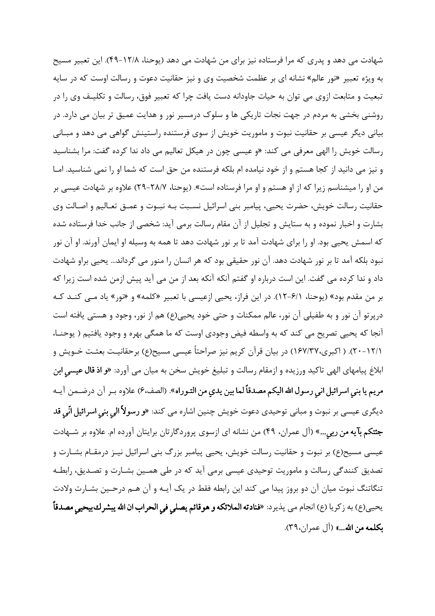شهادت می دهد و پدری که مرا فرستاده نیز برای من شهادت می دهد (پوحنا، ۱۲/۸-۴۹). این تعبیر مسیح به ویژه تعبیر «نور عالم» نشانه ای بر عظمت شخصیت وی و نیز حقانیت دعوت و رسالت اوست که در سایه تبعیت و متابعت ازوی می توان به حیات جاودانه دست یافت چرا که تعبیر فوق، رسالت و تکلیـف وی را در روشنی بخشی به مردم در جهت نجات تاریکی ها و سلوک درمسیر نور و هدایت عمیق تر بیان می دارد. در بیانی دیگر عیسی بر حقانیت نبوت و ماموریت خویش از سوی فرستنده راستینش گواهی می دهد و مبـانی رسالت خویش را الهی معرفی می کند: «و عیسی چون در هیکل تعالیم می داد ندا کرده گفت: مرا بشناسید و نیز می دانید از کجا هستم و از خود نیامده ام بلکه فرستنده من حق است که شما او را نمی شناسید. امـا من او را میشناسم زیرا که از او هستم و او مرا فرستاده است». (یوحنا، ۲۸/۷-۲۹) علاوه بر شهادت عیسی بر حقانیت رسالت خویش، حضرت یحیی، پیامبر بنی اسرائیل نسـبت بــه نبــوت و عمــق تعــالیم و اصــالت وی بشارت و اخبار نموده و به ستایش و تجلیل از آن مقام رسالت برمی آید: شخصی از جانب خدا فرستاده شده که اسمش يحيي بود. او را براي شهادت آمد تا بر نور شهادت دهد تا همه به وسيله او ايمان آورند. او آن نور نبود بلکه آمد تا بر نور شهادت دهد. آن نور حقیقی بود که هر انسان را منور می گرداند… یحیی براو شهادت داد و ندا کرده می گفت. این است درباره او گفتم آنکه آنکه بعد از من می آید پیش ازمن شده است زیرا که بر من مقدم بود» (يوحنا، ۶/۱–۱۲). در اين فراز، يحيى ازعيسى با تعبير «كلمه» و «نور» ياد مـي كنـد كـه درپرتو آن نور و به طفیلی آن نور، عالم ممکنات و حتی خود یحیی(ع) هم از نور، وجود و هستی یافته است آنجا که یحیی تصریح می کند که به واسطه فیض وجودی اوست که ما همگی بهره و وجود یافتیم ( یوحنـا، ٢٠-٢١/١). ( اكبرى،١۶٧/٣٧) در بيان قرآن كريم نيز صراحتاً عيسى مسيح(ع) برحقانيـت بعثـت خـويش و ابلاغ پیامهای الهی تاکید ورزیده و ازمقام رسالت و تبلیغ خویش سخن به میان می آورد: «**و اذ قال عیسی ابن** مريم يا بني اسرائيل اني رسول الله اليكم مصدقاً لما بين يدي من التوراه». (الصف،ع) علاوه بـر أن درضـمن أيـه ديگري عيسي بر نبوت و مباني توحيدي دعوت خويش چنين اشاره مي كند: «**و رسولاً الي بني اسرائيل انّي قد** جئتكم بآيه من ربي...» (آل عمران، ۴۹) من نشانه اي ازسوي پروردگارتان برايتان آورده ام. علاوه بر شـهادت عیسی مسیح(ع) بر نبوت و حقانیت رسالت خویش، یحیی پیامبر بزرگ بنی اسرائیل نیـز درمقـام بشـارت و تصدیق کنندگی رسالت و ماموریت توحیدی عیسی برمی آید که در طی همـین بشـارت و تصـدیق، رابطـه تنگاتنگ نبوت میان آن دو بروز پیدا می کند این رابطه فقط در یک آیـه و آن هـم درحـین بشـارت ولادت يحيى(ع) به زكريا (ع) انجام مي پذيرد: «فنا**دته الملائكه و هوقائم يصلي في الحراب ان الله يبشرك بيحيي مصدقاً** بكلمه من الله...» (آل عمران،٣٩).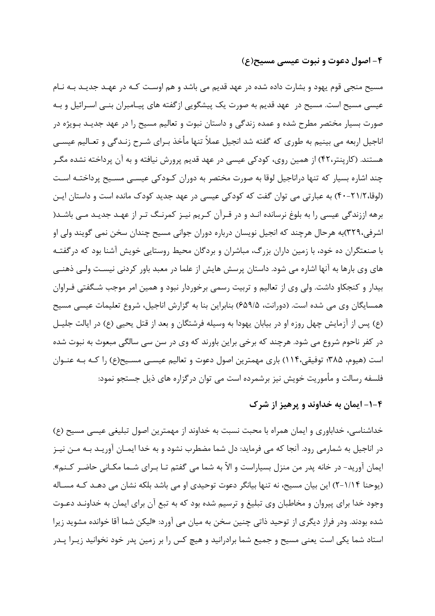#### ۴- اصول دعوت و نبوت عیسے, مسیح(ع)

مسیح منجے قوم یھود و بشارت دادہ شدہ در عھد قدیم مے باشد و ھم اوست کـه در عهـد جدیـد بـه نـام عیسی مسیح است. مسیح در عهد قدیم به صورت یک پیشگویی ازگفته های پیـامبران بنــی اسـرائیل و بــه صورت بسیار مختصر مطرح شده و عمده زندگی و داستان نبوت و تعالیم مسیح را در عهد جدیـد بـویژه در اناجیل اربعه می بینیم به طوری که گفته شد انجیل عملاً تنها مأخذ بـرای شـرح زنـدگی و تعـالیم عیسـی هستند. (کارپنتر،۴۲) از همین روی، کودکی عیسی در عهد قدیم پرورش نیافته و به آن پرداخته نشده مگـر چند اشاره بسیار که تنها دراناجیل لوقا به صورت مختصر به دوران کـودکی عیســی مســیح پرداختــه اسـت (لوقا،٢١/٢-۴٠) به عبارتی می توان گفت که کودکی عیسی در عهد جدید کودک مانده است و داستان ایـن برهه اززندگی عیسی را به بلوغ نرسانده انـد و در قـرآن کـریم نیـز کمرنـگ تـر از عهـد جدیـد مـی باشـد( اشرفی،۳۲۹)به هرحال هرچند که انجیل نویسان درباره دوران جوانی مسیح چندان سخن نمی گویند ولی او با صنعتگران ده خود، با زمین داران بزرگ، مباشران و بردگان محیط روستایی خویش آشنا بود که درگفتـه های وی بارها به آنها اشاره می شود. داستان پرسش هایش از علما در معبد باور کردنی نیست ولـی ذهنـی بیدار و کنجکاو داشت. ولی وی از تعالیم و تربیت رسمی برخوردار نبود و همین امر موجب شـگفتی فـراوان همسایگان وی می شده است. (دورانت، ۶۵۹/۵) بنابراین بنا به گزارش اناجیل، شروع تعلیمات عیسی مسیح (ع) پس از آزمایش چهل روزه او در بیابان یهودا به وسیله فرشتگان و بعد از قتل یحیی (ع) در ایالت جلیـل در کفر ناحوم شروع می شود. هرچند که برخی براین باورند که وی در سن سی سالگی مبعوث به نبوت شده است (هیوم، ۳۸۵؛ توفیقی،۱۱۴) باری مهمترین اصول دعوت و تعالیم عیســی مسـیح(ع) را کـه بـه عنــوان فلسفه رسالت و مأموریت خویش نیز برشمرده است می توان در گزاره های ذیل جستجو نمود:

# ۴–۱– ایمان به خداوند و پرهیز از شرک

خداشناسی، خداباوری و ایمان همراه با محبت نسبت به خداوند از مهمترین اصول تبلیغی عیسی مسیح (ع) در اناجیل به شمارمی رود. آنجا که می فرماید: دل شما مضطرب نشود و به خدا ایمــان آوریــد بــه مــن نیــز ایمان آورید- در خانه پدر من منزل بسیاراست و الاّ به شما می گفتم تـا بـرای شـما مکـانی حاضـر کـنم». (یوحنا ۱/۱۴–۲) این بیان مسیح، نه تنها بیانگر دعوت توحیدی او می باشد بلکه نشان می دهـد کـه مسـاله وجود خدا برای پیروان و مخاطبان وی تبلیغ و ترسیم شده بود که به تبع آن برای ایمان به خداونـد دعـوت شده بودند. ودر فراز دیگری از توحید ذاتی چنین سخن به میان می آورد: «لیکن شما آقا خوانده مشوید زیرا استاد شما یکی است یعنی مسیح و جمیع شما برادرانید و هیچ کس را بر زمین پدر خود نخوانید زیـرا پـدر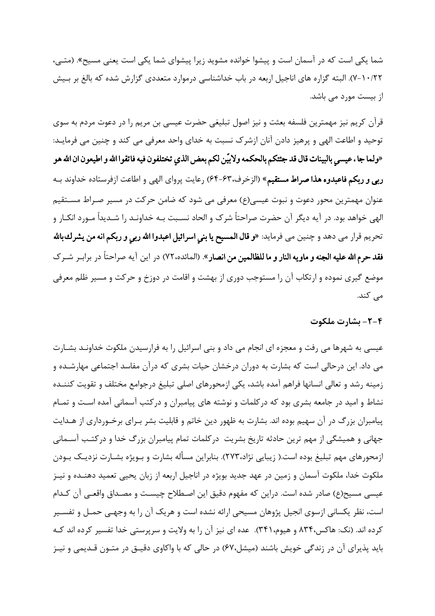شما یکی است که در آسمان است و پیشوا خوانده مشوید زیرا پیشوای شما یکی است یعنی مسیح». (متبی، ۰/۲۲–۷). البته گزاره های اناجیل اربعه در باب خداشناسی درموارد متعددی گزارش شده که بالغ بر بـیش از بیست مورد مے باشد.

قرآن کریم نیز مهمترین فلسفه بعثت و نیز اصول تبلیغی حضرت عیسی بن مریم را در دعوت مردم به سوی توحید و اطاعت الهی و پرهیز دادن آنان ازشرک نسبت به خدای واحد معرفی می کند و چنین می فرمایـد: «ولما جا . عيسى بالبينات قال قد جئتكم بالحكمه ولابيّن لكم بعض الذي تختلفون فيه فاتقوا الله و اطيعون ان الله هو ربي و ربكم فاعبدوه هذا صراط مستقيم» (الزخرف،۶۳-۶۴) رعايت پرواي الهي و اطاعت ازفرستاده خداوند بـه عنوان مهمترین محور دعوت و نبوت عیسی(ع) معرفی می شود که ضامن حرکت در مسیر صـراط مســتقیم الهی خواهد بود. در آیه دیگر آن حضرت صراحتاً شرک و الحاد نسـبت بـه خداونـد را شـدیداً مـورد انکـار و تحريم قرار مي دهد و چنين مي فرمايد: «**و قال المسيح يا بني اسرائيل اعبدوا الله ربي و ربكم انه من يشرك بالله فقد حرم الله عليه الجنه و ماويه النار و ما للظالمين من انصار**». (المائده،٧٢) در اين آيه صراحتاً در برابـر شـرك موضع گیری نموده و ارتکاب آن را مستوجب دوری از بهشت و اقامت در دوزخ و حرکت و مسیر ظلم معرفی می کند.

۰۴–۲– بشارت ملکوت

عیسی به شهرها می رفت و معجزه ای انجام می داد و بنی اسرائیل را به فرارسیدن ملکوت خداونـد بشــارت می داد. این درحالی است که بشارت به دوران درخشان حیات بشری که درآن مفاسد اجتماعی مهارشـده و زمينه رشد و تعالى انسانها فراهم آمده باشد، يكي ازمحورهاي اصلى تبليغ درجوامع مختلف و تقويت كننـده نشاط و امید در جامعه بشری بود که درکلمات و نوشته های پیامبران و درکتب آسمانی آمده است و تمـام پیامبران بزرگ در آن سهیم بوده اند. بشارت به ظهور دین خاتم و قابلیت بشر بـرای برخـورداری از هـدایت جهانی و همیشگی از مهم ترین حادثه تاریخ بشریت درکلمات تمام پیامبران بزرگ خدا و درکتب آسـمانی ازمحورهای مهم تبلیغ بوده است.( زیبایی نژاد،۲۷۳). بنابراین مسأله بشارت و بـویژه بشــارت نزدیــک بــودن ملکوت خدا، ملکوت آسمان و زمین در عهد جدید بویژه در اناجیل اربعه از زبان یحیی تعمید دهنـده و نیـز عیسی مسیح(ع) صادر شده است. دراین که مفهوم دقیق این اصـطلاح چیسـت و مصـداق واقعـی آن کـدام است، نظر یکسانی ازسوی انجیل پژوهان مسیحی ارائه نشده است و هریک آن را به وجهـی حمـل و تفسـیر کرده اند. (نک: هاکس،۸۳۴ و هیوم،۳۴۱). عده ای نیز آن را به ولایت و سرپرستی خدا تفسیر کرده اند کـه باید پذیرای آن در زندگی خویش باشند (میشل،۶۷) در حالی که با واکاوی دقیـق در متـون قـدیمی و نیـز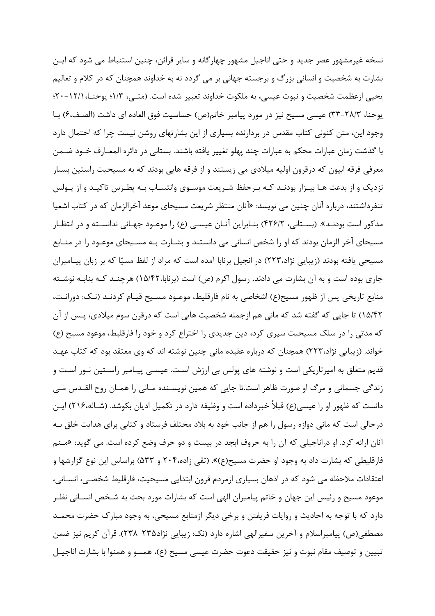نسخه غيرمشهور عصر جديد و حتى اناجيل مشهور چهارگانه و ساير قرائن، چنين استنباط مي شود كه ايـن بشارت به شخصیت و انسانی بزرگ و برجسته جهانی بر می گردد نه به خداوند همچنان که در کلام و تعالیم يحيي ازعظمت شخصيت و نبوت عيسي، به ملكوت خداوند تعبير شده است. (متــي، ١/٣؛ يوحنــا، ١٢/١-٢٠؛ يوحنا، ٢٨/٣-٣٣) عيسى مسيح نيز در مورد پيامبر خاتم(ص) حساسيت فوق العاده اي داشت (الصـف،۶) بــا وجود این، متن کنونی کتاب مقدس در بردارنده بسیاری از این بشارتهای روشن نیست چرا که احتمال دارد با گذشت زمان عبارات محكم به عبارات چند پهلو تغيير يافته باشند. بستاني در دائره المعـارف خــود ضــمن معرفی فرقه ابیون که درقرون اولیه میلادی می زیستند و از فرقه هایی بودند که به مسیحیت راستین بسیار نزدیک و از بدعت هـا بیـزار بودنـد کـه بـرحفظ شـریعت موسـوی وانتسـاب بـه یطـرس تاکیـد و از یـولس تنفرداشتند، درباره آنان چنین می نویسد: «آنان منتظر شریعت مسیحای موعد آخرالزمان که در کتاب اشعیا مذکور است بودنـد». (بسـتاني، ۴۲۶/۲) بنــابراين آنــان عيسـي (ع) را موعــود جهــاني ندانســته و در انتظــار مسیحای آخر الزمان بودند که او را شخص انسانی می دانستند و بشـارت بـه مسـیحای موعـود را در منـابع مسیحی یافته بودند (زیبایی نژاد،۲۲۳) در انجیل برنابا آمده است که مراد از لفظ مسیّا که بر زبان پیـامبران جاری بوده است و به آن بشارت می دادند، رسول اکرم (ص) است (برنابا،۱۵/۴۲) هرچنـد کـه بنابـه نوشـته منابع تاريخي پس از ظهور مسيح(ع) اشخاصي به نام فارقليط، موعــود مســيح قيــام كردنــد (نــك: دورانـت، ١۵/۴۲) تا جایی که گفته شد که مانی هم ازجمله شخصیت هایی است که درقرن سوم میلادی، پـس از آن که مدتی را در سلک مسیحیت سپری کرد، دین جدیدی را اختراع کرد و خود را فارقلیط، موعود مسیح (ع) خواند. (زیبایی نژاد،۲۲۳) همچنان که درباره عقیده مانی چنین نوشته اند که وی معتقد بود که کتاب عهـد قدیم متعلق به امیرتاریکی است و نوشته های پولس بی ارزش است. عیســی پیـامبر راسـتین نــور اسـت و زندگی جسمانی و مرگ او صورت ظاهر است.تا جایی که همین نویسـنده مـانی را همـان روح القـدس مـی دانست که ظهور او را عیسی(ع) قبلاً خبرداده است و وظیفه دارد در تکمیل ادیان بکوشد. (شـاله،۲۱۶) ایـن درحالی است که مانی دوازه رسول را هم از جانب خود به بلاد مختلف فرستاد و کتابی برای هدایت خلق بـه آنان ارائه کرد. او دراناجیلی که آن را به حروف ابجد در بیست و دو حرف وضع کرده است. می گوید: «مـنم فارقلیطی که بشارت داد به وجود او حضرت مسیح(ع)». (تقی زاده،۲۰۴ و ۵۳۳) براساس این نوع گزارشها و اعتقادات ملاحظه می شود که در اذهان بسیاری ازمردم قرون ابتدایی مسیحیت، فارقلیط شخصـی، انسـانی، موعود مسیح و رئیس این جهان و خاتم پیامبران الهی است که بشارات مورد بحث به شـخص انسـانی نظـر دارد که با توجه به احادیث و روایات فریفتن و برخی دیگر ازمنابع مسیحی، به وجود مبارک حضرت محمـد مصطفی(ص) پیامبراسلام و آخرین سفیرالهی اشاره دارد (نک: زیبایی نژاد۲۳۵-۲۳۸). قرآن کریم نیز ضمن تبيين و توصيف مقام نبوت و نيز حقيقت دعوت حضرت عيسى مسيح (ع)، همسو و همنوا با بشارت اناجيـل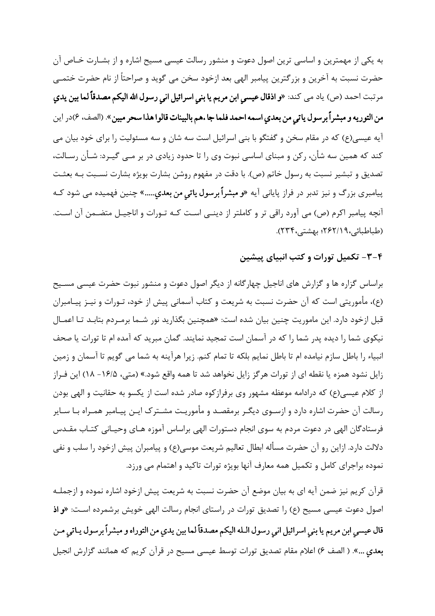به یکی از مهمترین و اساسی ترین اصول دعوت و منشور رسالت عیسی مسیح اشاره و از بشـارت خـاص آن حضرت نسبت به آخرین و بزرگترین پیامبر الهی بعد ازخود سخن می گوید و صراحتاً از نام حضرت ختمــی مرتبت احمد (ص) ياد مي كند: «و ا**ذقال عيسى ابن مريم يا بني اسرائيل اني رسول الله اليكم مصدقاً لما بين يدي** من التوريه و مبشراً برسول ياتي من بعدي اسمه احمد فلما جا .هم بالبينات قالوا هذا سحر مبين». (الصف، ۶)در اين آيه عيسي(ع) كه در مقام سخن و گفتگو با بني اسرائيل است سه شان و سه مسئوليت را براي خود بيان مي کند که همین سه شأن، رکن و مبنای اساسی نبوت وی را تا حدود زیادی در بر مـی گیـرد: شـأن رسـالت، تصدیق و تبشیر نسبت به رسول خاتم (ص). با دقت در مفهوم روشن بشارت بویژه بشارت نسـبت بـه بعثـت پیامبری بزرگ و نیز تدبر در فراز پایانی آیه «**و مبشراً برسول یاتی من بعدی.....**» چنین فهمیده می شود کـه آنچه پیامبر اکرم (ص) می آورد راقی تر و کاملتر از دینے است کـه تـورات و اناجیـل متضـمن آن اسـت. (طباطبائی،۶۲/۱۹): بهشتی،۲۳۴).

۴–۳– تکمیل تورات و کتب انبیای پیشین

براساس گزاره ها و گزارش های اناجیل چهارگانه از دیگر اصول دعوت و منشور نبوت حضرت عیسی مسـیح (ع)، مأموريتي است كه آن حضرت نسبت به شريعت و كتاب آسماني پيش از خود، تـورات و نيـز پيـامبران قبل ازخود دارد. این ماموریت چنین بیان شده است: «همچنین بگذارید نور شـما برمـردم بتابـد تــا اعمــال نیکوی شما را دیده پدر شما را که در آسمان است تمجید نمایند. گمان مبرید که آمده ام تا تورات یا صحف انبياء را باطل سازم نيامده ام تا باطل نمايم بلكه تا تمام كنم. زيرا هرآينه به شما مي گويم تا آسمان و زمين زایل نشود همزه یا نقطه ای از تورات هرگز زایل نخواهد شد تا همه واقع شود.» (متی، ۱۶/۵– ۱۸) این فـراز از کلام عیسی(ع) که درادامه موعظه مشهور وی برفراز کوه صادر شده است از یکسو به حقانیت و الهی بودن رسالت آن حضرت اشاره دارد و ازسـوی دیگـر برمقصـد و مأموریـت مشـترک ایـن پیـامبر همـراه بـا سـایر فرستادگان الهی در دعوت مردم به سوی انجام دستورات الهی براساس آموزه هـای وحیـانی کتـاب مقـدس دلالت دارد. ازاین رو آن حضرت مسأله ابطال تعالیم شریعت موسی(ع) و پیامبران پیش ازخود را سلب و نفی نموده براجرای کامل و تکمیل همه معارف آنها بویژه تورات تاکید و اهتمام می ورزد.

قرآن کریم نیز ضمن آیه ای به بیان موضع آن حضرت نسبت به شریعت پیش ازخود اشاره نموده و ازجملـه اصول دعوت عیسی مسیح (ع) را تصدیق تورات در راستای انجام رسالت الهی خویش برشمرده است: «و اذ قال عيسى ابن مريم يا بني اسرائيل اني رسول الـله اليكم مصدقاً لما بين يدي من التوراه و مبشراً برسول يـاتي مـن بعدي ...». (الصف ۶) اعلام مقام تصديق تورات توسط عيسى مسيح در قرآن كريم كه همانند گزارش انجيل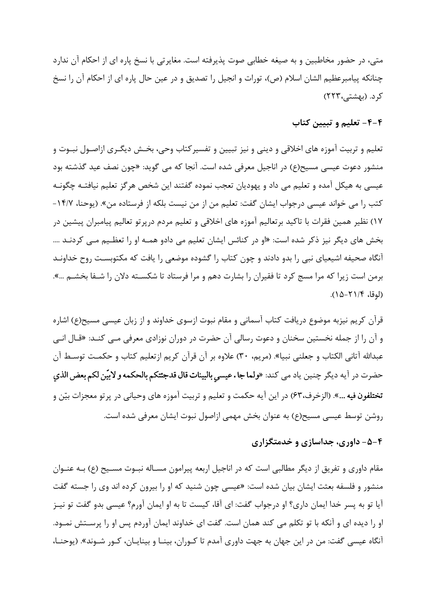متے، در حضور مخاطبین و به صیغه خطابی صوت پذیرفته است. مغایرتی با نسخ پاره ای از احکام آن ندارد چنانکه پیامبرعظیم الشان اسلام (ص)، تورات و انجیل را تصدیق و در عین حال پاره ای از احکام آن را نسخ کر د. (بهشتی،۲۲۳)

# ۴-۴- تعلیم و تبیین کتاب

تعليم و تربيت آموزه هاي اخلاقي و ديني و نيز تبيين و تفسير كتاب وحي، بخـش ديگـري ازاصـول نبـوت و منشور دعوت عیسی مسیح(ع) در اناجیل معرفی شده است. آنجا که می گوید: «چون نصف عید گذشته بود عیسی به هیکل آمده و تعلیم می داد و یهودیان تعجب نموده گفتند این شخص هرگز تعلیم نیافتـه چگونـه کتب را می خواند عیسی درجواب ایشان گفت: تعلیم من از من نیست بلکه از فرستاده من». (یوحنا، ۱۴/۷-١٧) نظير همين فقرات با تاكيد برتعاليم آموزه هاى اخلاقى و تعليم مردم درپرتو تعاليم پيامبران پيشين در بخش های دیگر نیز ذکر شده است: «او در کنائس ایشان تعلیم می دادو همـه او را تعظـیم مـی کردنـد …. آنگاه صحیفه اشیعیای نبی را بدو دادند و چون کتاب را گشوده موضعی را یافت که مکتوبسـت روح خداونـد برمن است زیرا که مرا مسج کرد تا فقیران را بشارت دهم و مرا فرستاد تا شکســته دلان را شـفا بخشـم …». (لوقا، ۲۱/۴-۱۵).

قرآن کریم نیزبه موضوع دریافت کتاب آسمانی و مقام نبوت ازسوی خداوند و از زبان عیسی مسیح(ع) اشاره و آن را از جمله نخستین سخنان و دعوت رسالی آن حضرت در دوران نوزادی معرفی مـی کنـد: «قـال انـی عبدالله آتاني الكتاب و جعلني نبيا». (مريم، ٣٠) علاوه بر آن قرآن كريم ازتعليم كتاب و حكمـت توسـط آن حضرت در آيه ديگر چنين ياد مي كند: «**ولما جا . عيسي بالبينات قال قدجئتكم بالحكمه و لابيّن لكم بعض الذي تختلفون فيه ...**». (الزخرف،۶۳) در اين آيه حكمت و تعليم و تربيت آموزه هاي وحياني در پرتو معجزات بيّن و روشن توسط عیسی مسیح(ع) به عنوان بخش مهمی ازاصول نبوت ایشان معرفی شده است.

# ۴–۵– داوری، جداسازی و خدمتگزاری

مقام داوری و تفریق از دیگر مطالبی است که در اناجیل اربعه پیرامون مسـاله نبــوت مسـیح (ع) بــه عنــوان منشور و فلسفه بعثت ایشان بیان شده است: «عیسی چون شنید که او را بیرون کرده اند وی را جسته گفت آيا تو به پسر خدا ايمان داري؟ او درجواب گفت: اي آقا، كيست تا به او ايمان آورم؟ عيسى بدو گفت تو نيـز او را دیده ای و آنکه با تو تکلم می کند همان است. گفت ای خداوند ایمان آوردم پس او را پرسـتش نمـود. آنگاه عیسی گفت: من در این جهان به جهت داوری آمدم تا کـوران، بینـا و بینایـان، کـور شـوند». (یوحنـا،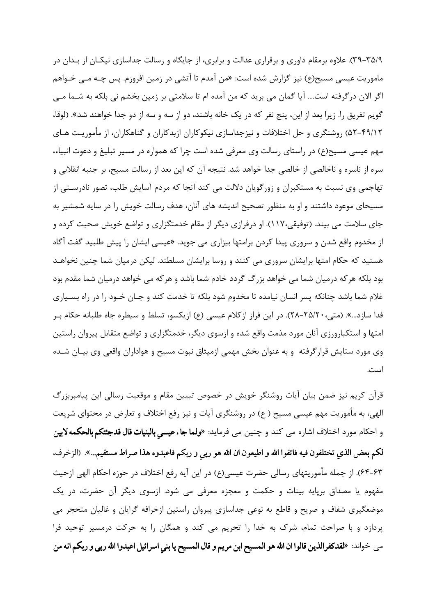۳۵/۹-۳۵). علاوه برمقام داوری و برقراری عدالت و برابری، از جایگاه و رسالت جداسازی نیکـان از بـدان در ماموریت عیسی مسیح(ع) نیز گزارش شده است: «من آمدم تا آتشی در زمین افروزم. پس چـه مــی خـواهم اگر الان درگرفته است.... آیا گمان می برید که من آمده ام تا سلامتی بر زمین بخشم نی بلکه به شـما مـی گويم تفريق را. زيرا بعد از اين، پنج نفر كه در يک خانه باشند، دو از سه و سه از دو جدا خواهند شد». (لوقا، ۴۹/۱۲–۵۲) روشنگری و حل اختلافات و نیزجداسازی نیکوکاران ازبدکاران و گناهکاران، از مأموریـت هـای مهم عیسی مسیح(ع) در راستای رسالت وی معرفی شده است چرا که همواره در مسیر تبلیغ و دعوت انبیاء، سره از ناسره و ناخالصی از خالصی جدا خواهد شد. نتیجه آن که این بعد از رسالت مسیح، بر جنبه انقلابی و تهاجمي وي نسبت به مستكبران و زورگويان دلالت مي كند آنجا كه مردم آسايش طلب، تصور نادرســتي از مسیحای موعود داشتند و او به منظور تصحیح اندیشه های آنان، هدف رسالت خویش را در سایه شمشیر به جای سلامت می بیند. (توفیقی،۱۱۷). او درفرازی دیگر از مقام خدمتگزاری و تواضع خویش صحبت کرده و از مخدوم واقع شدن و سروري پيدا كردن برامتها بيزاري مي جويد. «عيسى ايشان را پيش طلبيد گفت آگاه هستید که حکام امتها برایشان سروری می کنند و روسا برایشان مسلطند. لیکن درمیان شما چنین نخواهـد بود بلکه هر که درمیان شما می خواهد بزرگ گردد خادم شما باشد و هر که می خواهد درمیان شما مقدم بود غلام شما باشد چنانکه پسر انسان نیامده تا مخدوم شود بلکه تا خدمت کند و جـان خـود را در راه بسـياري فدا سازد...». (متي،٢٥/٢٠-٢٨). در اين فراز ازكلام عيسى (ع) ازيكسو، تسلط و سيطره جاه طلبانه حكام بـر امتها و استکبارورزی آنان مورد مذمت واقع شده و ازسوی دیگر، خدمتگزاری و تواضع متقابل پیروان راستین وی مورد ستایش قرارگرفته و به عنوان بخش مهمی ازمیثاق نبوت مسیح و هواداران واقعی وی بیـان شـده است.

قرآن کریم نیز ضمن بیان آیات روشنگر خویش در خصوص تبیین مقام و موقعیت رسالی این پیامبربزرگ الهی، به مأموریت مهم عیسی مسیح ( ع) در روشنگری آیات و نیز رفع اختلاف و تعارض در محتوای شریعت و احکام مورد اختلاف اشاره مي کند و چنين مي فرمايد: «ولما جاءعيسي بالبنيات قال قدجئتكم بالحكمه لابين لكم بعض الذي تختلفون فيه فاتقوا الله و اطيعون ان الله هو ربي و ربكم فاعبدوه هذا صراط مستقيم...». (الزخرف، ۶۳–۶۴). از جمله مأموريتهاي رسالي حضرت عيسي(ع) در اين آيه رفع اختلاف در حوزه احكام الهي ازحيث مفهوم یا مصداق برپایه بینات و حکمت و معجزه معرفی می شود. ازسوی دیگر آن حضرت، در یک موضعگیری شفاف و صریح و قاطع به نوعی جداسازی پیروان راستین ازخرافه گرایان و غالیان متحجر می پردازد و با صراحت تمام، شرک به خدا را تحریم می کند و همگان را به حرکت درمسیر توحید فرا مي خواند: «لقد كفرالذين قالوا ان الله هو المسيح ابن مريم و قال المسيح يا بني اسرائيل اعبدوا الله ربي و ربكم انه من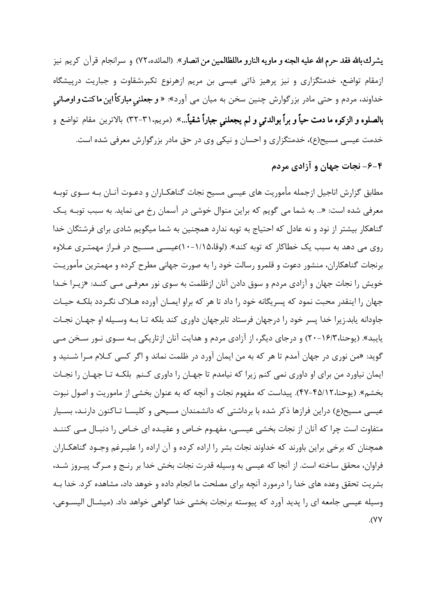يشرك بالله فقد حرم الله عليه الجنه و ماويه النارو ماللظالمين من انصار». (المائده،٧٢) و سرانجام قرآن كريم نيز ازمقام تواضع، خدمتگزاری و نیز پرهیز ذاتی عیسی بن مریم ازهرنوع تکبر،شقاوت و جباریت درپیشگاه خداوند، مردم و حتی مادر بزرگوارش چنین سخن به میان می آورد»: « **و جعلنی مبارکاً این ماکنت و اوصانی بالصلوه و الزكوه ما دمت حياً و براً بوالدتي و لم يجعلني جباراً شقياً...**». (مريم.٣١-٣٢) بالاترين مقام تواضع و خدمت عیسی مسیح(ع)، خدمتگزاری و احسان و نیکی وی در حق مادر بزرگوارش معرفی شده است.

۴-۶- نجات جهان و آزادی مردم

مطابق گزارش اناجیل ازجمله مأموریت های عیسی مسیح نجات گناهکـاران و دعـوت آنـان بـه ســوی توبــه معرفی شده است: «... به شما می گویم که براین منوال خوشی در آسمان رخ می نماید. به سبب توبـه یـک گناهکار بیشتر از نود و نه عادل که احتیاج به توبه ندارد همچنین به شما میگویم شادی برای فرشتگان خدا روی می دهد به سبب یک خطاکار که توبه کند». (لوقا،۱/۱۵-۱۰)عیســی مســیح در فـراز مهمتـری عــلاوه برنجات گناهکاران، منشور دعوت و قلمرو رسالت خود را به صورت جهانی مطرح کرده و مهمترین مأموریـت خویش را نجات جهان و آزادی مردم و سوق دادن آنان ازظلمت به سوی نور معرف<sub>جی</sub> مــی کنــد: «زیـرا خــدا جهان را اینقدر محبت نمود که پسریگانه خود را داد تا هر که براو ایمـان آورده هـلاک نگـردد بلکـه حیـات جاودانه یابد.زیرا خدا پسر خود را درجهان فرستاد تابرجهان داوری کند بلکه تـا بـه وسـیله او جهـان نجـات پایبد». (پوحنا،۱۶/۳-۲۰) و درجای دیگر، از آزادی مردم و هدایت آنان ازتاریکی بـه سـوی نـور سـخن مـی گوید: «من نوری در جهان آمدم تا هر که به من ایمان آورد در ظلمت نماند و اگر کسی کـلام مـرا شــنید و ایمان نیاورد من برای او داوری نمی کنم زیرا که نیامدم تا جهـان را داوری کـنم بلکـه تـا جهـان را نجـات بخشم». (يوحنا،۴۵/۱۲-۴۷). پيداست كه مفهوم نجات و آنچه كه به عنوان بخشي از ماموريت و اصول نبوت عیسی مسیح(ع) دراین فرازها ذکر شده با برداشتی که دانشمندان مسیحی و کلیسـا تـاکنون دارنـد، بسـیار متفاوت است چرا که آنان از نجات بخشی عیسی، مفهـوم خـاص و عقیـده ای خـاص را دنبـال مـی کننـد همچنان که برخی براین باورند که خداوند نجات بشر را اراده کرده و آن اراده را علیـرغم وجـود گناهکـاران فراوان، محقق ساخته است. از آنجا که عیسی به وسیله قدرت نجات بخش خدا بر رنـج و مـرگ پیـروز شـد، بشریت تحقق وعده های خدا را درمورد آنچه برای مصلحت ما انجام داده و خوهد داد، مشاهده کرد. خدا بـه وسیله عیسی جامعه ای را پدید آورد که پیوسته برنجات بخشی خدا گواهی خواهد داد. (میشـال الیسـوعی،  $.(\forall \forall$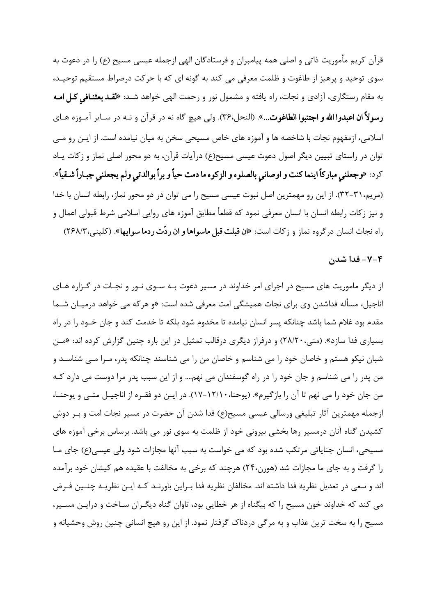قرآن کریم مأموریت ذاتی و اصلی همه پیامبران و فرستادگان الهی ازجمله عیسی مسیح (ع) ٫ا در دعوت به سوی توحید و پرهیز از طاغوت و ظلمت معرفی می کند به گونه ای که با حرکت درصراط مستقیم توحیـد، به مقام رستگاری، آزادی و نجات، راه یافته و مشمول نور و رحمت الهی خواهد شـد: «لقـد بعثنـافی کـل امـه رسولاً ان اعبدوا الله و اجتنبوا الطاغوت...». (النحل،٣۶). ولي هيچ گاه نه در قرآن و نـه در سـاير آمـوزه هـاي اسلامی، ازمفهوم نجات با شاخصه ها و آموزه های خاص مسیحی سخن به میان نیامده است. از ایـن رو مـی توان در راستای تبیین دیگر اصول دعوت عیسی مسیح(ع) درآیات قرآن، به دو محور اصلی نماز و زکات یـاد كرد: «وجعلني مباركاً اينما كنت و اوصاني بالصلوه و الزكوه ما دمت حياً و براً بوالدتي ولم يجعلني جبـاراً شـقياً». (مریم،۳۱-۳۲). از این رو مهمترین اصل نبوت عیسی مسیح را می توان در دو محور نماز، رابطه انسان با خدا و نیز زکات رابطه انسان با انسان معرفی نمود که قطعاً مطابق آموزه های روایی اسلامی شرط قبولی اعمال و راه نجات انسان در گروه نماز و زكات است: «ا**ن قبلت قبل ماسواها و ان ردّت ردما سوایها**». (كلینی، ۲۶۸/۳)

#### ۰٫۰ - فدا شدن

از دیگر ماموریت های مسیح در اجرای امر خداوند در مسیر دعوت بـه سـوی نـور و نجـات در گـزاره هـای اناجیل، مسأله فداشدن وی برای نجات همیشگی امت معرفی شده است: «و هر که می خواهد درمیــان شــما مقدم بود غلام شما باشد چنانکه پسر انسان نیامده تا مخدوم شود بلکه تا خدمت کند و جان خـود را در راه بسیاری فدا سازد». (متی، ۲۸/۲۰) و درفراز دیگری درقالب تمثیل در این باره چنین گزارش کرده اند: «مـن شبان نیکو هستم و خاصان خود را می شناسم و خاصان من را می شناسند چنانکه پدر، مـرا مـی شناسـد و من پدر را می شناسم و جان خود را در راه گوسفندان می نهم.... و از این سبب پدر مرا دوست می دارد کـه من جان خود را می نهم تا آن را بازگیرم». (یوحنا، ۱۲/۱۰–۱۷). در ایـن دو فقـره از اناجیـل متـی و یوحنـا، ازجمله مهمترین آثار تبلیغی ورسالی عیسی مسیح(ع) فدا شدن آن حضرت در مسیر نجات امت و بـر دوش کشیدن گناه آنان درمسیر رها بخشی بیرونی خود از ظلمت به سوی نور می باشد. برساس برخی آموزه های مسیحی، انسان جنایاتی مرتکب شده بود که می خواست به سبب آنها مجازات شود ولی عیسی(ع) جای مـا را گرفت و به جای ما مجازات شد (هورن،۲۴) هرچند که برخی به مخالفت با عقیده هم کیشان خود برآمده اند و سعی در تعدیل نظریه فدا داشته اند. مخالفان نظریه فدا بـراین باورنـد کـه ایـن نظریـه چنـین فـرض می کند که خداوند خون مسیح را که بیگناه از هر خطایی بود، تاوان گناه دیگـران سـاخت و درایـن مسـیر، مسیح را به سخت ترین عذاب و به مرگی دردناک گرفتار نمود. از این رو هیچ انسانی چنین روش وحشیانه و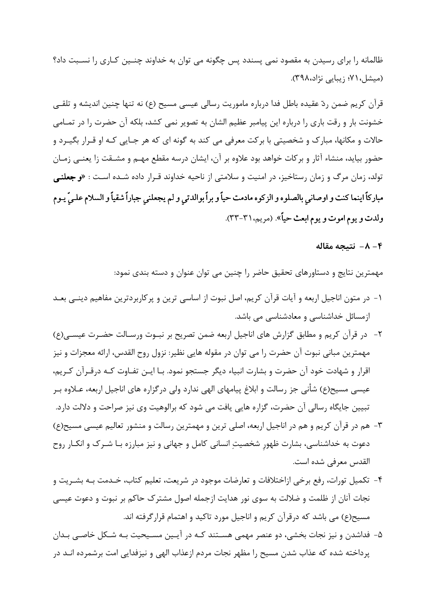ظالمانه را برای رسیدن به مقصود نمی پسندد پس چگونه می توان به خداوند چنـین کـاری را نسـبت داد؟ (میشل، ۷۱؛ زیبایی نژاد،۳۹۸).

قرآن کریم ضمن ردّ عقیده باطل فدا درباره ماموریت رسالی عیسی مسیح (ع) نه تنها چنین اندیشه و تلقــی خشونت بار و رقت باری را درباره این پیامبر عظیم الشان به تصویر نمی کشد، بلکه آن حضرت را در تمـامی حالات و مکانها، مبارک و شخصیتی با برکت معرفی می کند به گونه ای که هر جـایی کـه او قـرار بگیـرد و حضور بیاید، منشاء آثار و برکات خواهد بود علاوه بر آن، ایشان درسه مقطع مهـم و مشـقت زا یعنـی زمـان تولد، زمان مرگ و زمان رستاخیز، در امنیت و سلامتی از ناحیه خداوند قـرار داده شـده اسـت : «و جعلنـی مباركاً اينما كنت و اوصاني بالصلوه و الزكوه مادمت حياً و براً بوالدتي و لم يجعلني جباراً شقياً و السلام علـيّ يـوم ولدت و يوم اموت و يوم ابعث حياً». (مريم، ٣١-٣٣).

#### ۴- ۸- نتىجە مقالە

مهمترین نتایج و دستاورهای تحقیق حاضر را چنین می توان عنوان و دسته بندی نمود:

- ۱– در متون اناجیل اربعه و آیات قرآن کریم، اصل نبوت از اساسی ترین و پرکاربردترین مفاهیم دینـی بعــد ازمسائل خداشناسی و معادشناسی می باشد.
- ٢- در قرآن كريم و مطابق گزارش هاي اناجيل اربعه ضمن تصريح بر نبــوت ورسـالت حضــرت عيســي(ع) مهمترین مبانی نبوت آن حضرت را می توان در مقوله هایی نظیر: نزول روح القدس، ارائه معجزات و نیز اقرار و شهادت خود آن حضرت و بشارت انبیاء دیگر جستجو نمود. بـا ایــن تفــاوت کــه درقــرآن کــریم، عیسی مسیح(ع) شأنی جز رسالت و ابلاغ پیامهای الهی ندارد ولی در گزاره های اناجیل اربعه، عــلاوه بــر تبیین جایگاه رسالی آن حضرت، گزاره هایی یافت می شود که برالوهیت وی نیز صراحت و دلالت دارد.
- ۳- هم در قرآن کریم و هم در اناجیل اربعه، اصلی ترین و مهمترین رسالت و منشور تعالیم عیسی مسیح(ع) دعوت به خداشناسی، بشارت ظهور شخصیت انسانی کامل و جهانی و نیز مبارزه بـا شـرک و انکـار روح القدس معرفي شده است.
- ۴- تكميل تورات، رفع برخي ازاختلافات و تعارضات موجود در شريعت، تعليم كتاب، خـدمت بـه بشـريت و نجات آنان از ظلمت و ضلالت به سوى نور هدايت ازجمله اصول مشترک حاکم بر نبوت و دعوت عيسى مسیح(ع) می باشد که درقرآن کریم و اناجیل مورد تاکید و اهتمام قرارگرفته اند.
- ۵- فداشدن و نیز نجات بخشی، دو عنصر مهمی هسـتند کـه در آیـین مسـیحیت بـه شـکل خاصـی بـدان پرداخته شده که عذاب شدن مسیح را مظهر نجات مردم ازعذاب الهی و نیزفدایی امت برشمرده انـد در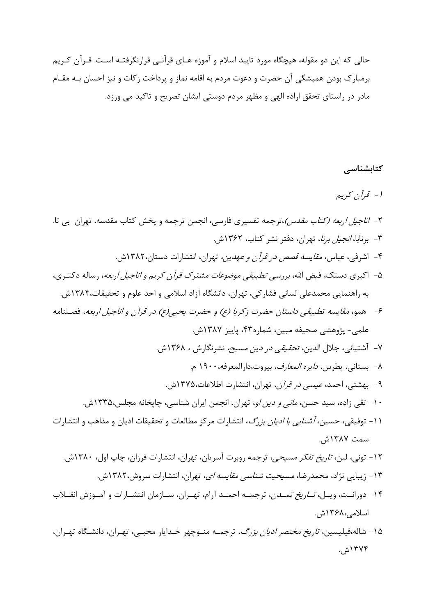حالي كه اين دو مقوله، هيچگاه مورد تاييد اسلام و آموزه هـاي قرآنـي قرارنگرفتـه اسـت. قـرآن كـريم برمبارک بودن همیشگی آن حضرت و دعوت مردم به اقامه نماز و پرداخت زکات و نیز احسان بـه مقـام مادر در راستای تحقق اراده الهی و مظهر مردم دوستی ایشان تصریح و تاکید می ورزد.

#### کتابشناسی

# 1 - قرآن کریم

| ۲- <i>اناجیل اربعه (کتاب مقدس)</i> ،ترجمه تفسیری فارسی، انجمن ترجمه و پخش کتاب مقدسه، تهران  بی تا.  |
|------------------------------------------------------------------------------------------------------|
| ۳- برنابا، <i>انجیل برنا</i> ، تهران، دفتر نشر کتاب، ۱۳۶۲ش.                                          |
| ۴- اشرفی، عباس، <i>مقایسه قصص در قرآن و عهدین،</i> تهران، انتشارات دستان،۱۳۸۲ش.                      |
| ۵-  اکبری دستک، فیض الله، <i>بررسی تطبیقی موضوعات مشترک قرآن کریم و اناجیل اربعه</i> ، رساله دکتـری، |

- ۶- همو، مقايسه تطبيقي داستان حضرت زكريا (ع) و حضرت يحيى(ع) در قرآن و اناجيل اربعه، فصـلنامه علمي- پژوهشي صحيفه مبين، شماره۴۳، پاييز ۱۳۸۷ش.
	- ٧- آشتياني، جلال الدين، *تحقيقي در دين مسيح،* نشرنگارش ، ١٣۶٨ش.
		- ٨- بستاني، يطرس، *دايره المعارف*، بيروت،دارالمعرفه، ١٩٠٠ م.
	- ۹- بهشتی، احمد، *عیسی در قرآن*، تهران، انتشارت اطلاعات،۱۳۷۵ش.
	- ۱۰- تقی زاده، سید حسن، *مانی و دین او*، تهران، انجمن ایران شناسی، چاپخانه مجلس،۱۳۳۵ش.
- ۱۱- توفیقی، حسین، *آشنایی با ادیان بزرگ*، انتشارات مرکز مطالعات و تحقیقات ادیان و مذاهب و انتشارات سمت ۱۳۸۷ش.
	- ۱۲- تونی، لین، *تاریخ تفکر مسیحی*، ترجمه روبرت آسریان، تهران، انتشارات فرزان، چاپ اول، ۱۳۸۰ش.
		- ۱۳- زیبایی نژاد، محمدرضا، *مسیحیت شناسی مقایسه ای*، تهران، انتشارات سروش،۱۳۸۲ش.
- ۱۴- دورانــت، ويــل، *تــاريخ تمــدن*، ترجمــه احمــد آرام، تهــران، ســازمان انتشــارات و آمــوزش انقــلاب اسلامے ،۱۳۶۸ش.
- ۱۵- شاله،فیلیسین، *تاریخ مختصر ادیان بزرگ*، ترجمـه منـوچهر خـدایار محبـی، تهـران، دانشـگاه تهـران، ۱۳۷۴ش.